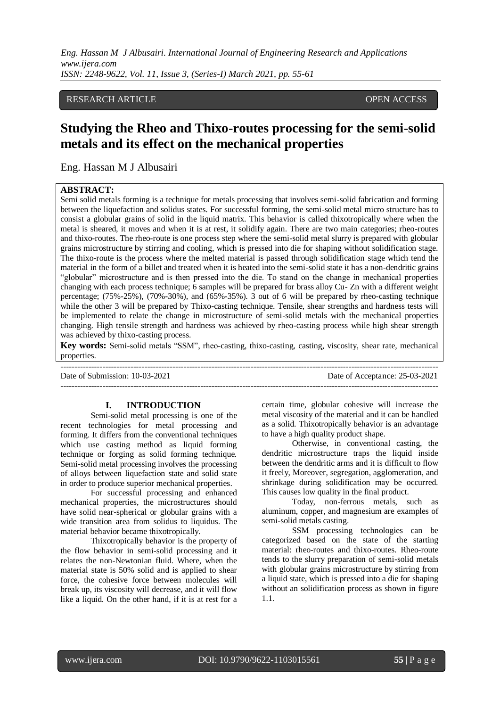# RESEARCH ARTICLE **CONTRACT ARTICLE** AND A SECOND ASSESSED AND A SECOND A SECOND A SECOND A SECOND ASSESSED AS A SECOND A SECOND A SECOND ASSESSED AS A SECOND ASSESSED AS A SECOND A SECOND ASSESSED AS A SECOND A SECOND A SE

# **Studying the Rheo and Thixo-routes processing for the semi-solid metals and its effect on the mechanical properties**

Eng. Hassan M J Albusairi

# **ABSTRACT:**

Semi solid metals forming is a technique for metals processing that involves semi-solid fabrication and forming between the liquefaction and solidus states. For successful forming, the semi-solid metal micro structure has to consist a globular grains of solid in the liquid matrix. This behavior is called thixotropically where when the metal is sheared, it moves and when it is at rest, it solidify again. There are two main categories; rheo-routes and thixo-routes. The rheo-route is one process step where the semi-solid metal slurry is prepared with globular grains microstructure by stirring and cooling, which is pressed into die for shaping without solidification stage. The thixo-route is the process where the melted material is passed through solidification stage which tend the material in the form of a billet and treated when it is heated into the semi-solid state it has a non-dendritic grains "globular" microstructure and is then pressed into the die. To stand on the change in mechanical properties changing with each process technique; 6 samples will be prepared for brass alloy Cu- Zn with a different weight percentage; (75%-25%), (70%-30%), and (65%-35%). 3 out of 6 will be prepared by rheo-casting technique while the other 3 will be prepared by Thixo-casting technique. Tensile, shear strengths and hardness tests will be implemented to relate the change in microstructure of semi-solid metals with the mechanical properties changing. High tensile strength and hardness was achieved by rheo-casting process while high shear strength was achieved by thixo-casting process.

**Key words:** Semi-solid metals "SSM", rheo-casting, thixo-casting, casting, viscosity, shear rate, mechanical properties.

| Date of Submission: 10-03-2021 | Date of Acceptance: 25-03-2021 |
|--------------------------------|--------------------------------|
|                                |                                |

## **I. INTRODUCTION**

Semi-solid metal processing is one of the recent technologies for metal processing and forming. It differs from the conventional techniques which use casting method as liquid forming technique or forging as solid forming technique. Semi-solid metal processing involves the processing of alloys between liquefaction state and solid state in order to produce superior mechanical properties.

For successful processing and enhanced mechanical properties, the microstructures should have solid near-spherical or globular grains with a wide transition area from solidus to liquidus. The material behavior became thixotropically.

Thixotropically behavior is the property of the flow behavior in semi-solid processing and it relates the non-Newtonian fluid. Where, when the material state is 50% solid and is applied to shear force, the cohesive force between molecules will break up, its viscosity will decrease, and it will flow like a liquid. On the other hand, if it is at rest for a certain time, globular cohesive will increase the metal viscosity of the material and it can be handled as a solid. Thixotropically behavior is an advantage to have a high quality product shape.

Otherwise, in conventional casting, the dendritic microstructure traps the liquid inside between the dendritic arms and it is difficult to flow it freely, Moreover, segregation, agglomeration, and shrinkage during solidification may be occurred. This causes low quality in the final product.

Today, non-ferrous metals, such as aluminum, copper, and magnesium are examples of semi-solid metals casting.

SSM processing technologies can be categorized based on the state of the starting material: rheo-routes and thixo-routes. Rheo-route tends to the slurry preparation of semi-solid metals with globular grains microstructure by stirring from a liquid state, which is pressed into a die for shaping without an solidification process as shown in figure 1.1.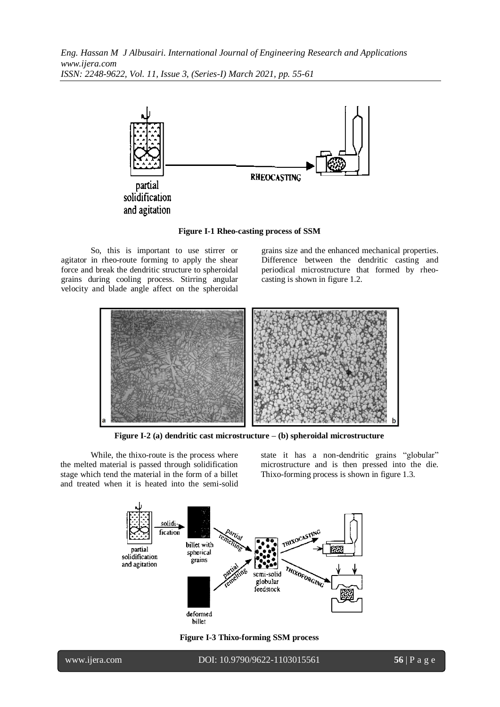

**Figure I-1 Rheo-casting process of SSM**

So, this is important to use stirrer or agitator in rheo-route forming to apply the shear force and break the dendritic structure to spheroidal grains during cooling process. Stirring angular velocity and blade angle affect on the spheroidal grains size and the enhanced mechanical properties. Difference between the dendritic casting and periodical microstructure that formed by rheocasting is shown in figure 1.2.



**Figure I-2 (a) dendritic cast microstructure – (b) spheroidal microstructure**

While, the thixo-route is the process where the melted material is passed through solidification stage which tend the material in the form of a billet and treated when it is heated into the semi-solid state it has a non-dendritic grains "globular" microstructure and is then pressed into the die. Thixo-forming process is shown in figure 1.3.



**Figure I-3 Thixo-forming SSM process**

www.ijera.com DOI: 10.9790/9622-1103015561 **56** | P a g e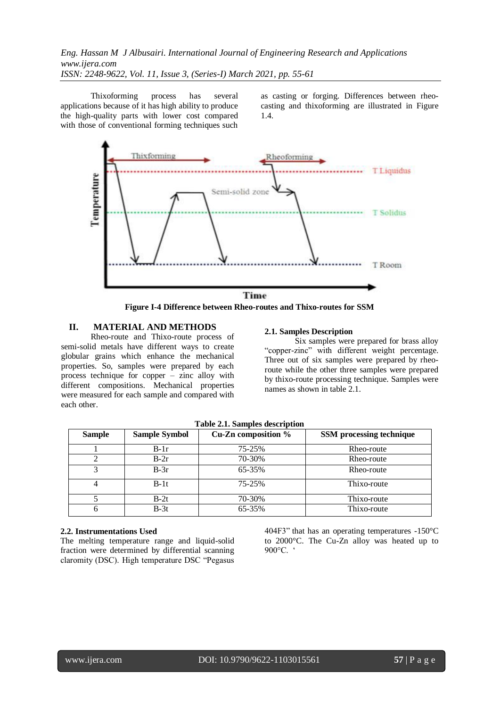Thixoforming process has several applications because of it has high ability to produce the high-quality parts with lower cost compared with those of conventional forming techniques such as casting or forging. Differences between rheocasting and thixoforming are illustrated in Figure 1.4.



**Figure I-4 Difference between Rheo-routes and Thixo-routes for SSM**

# **II. MATERIAL AND METHODS**

Rheo-route and Thixo-route process of semi-solid metals have different ways to create globular grains which enhance the mechanical properties. So, samples were prepared by each process technique for copper – zinc alloy with different compositions. Mechanical properties were measured for each sample and compared with each other.

## **2.1. Samples Description**

Six samples were prepared for brass alloy "copper-zinc" with different weight percentage. Three out of six samples were prepared by rheoroute while the other three samples were prepared by thixo-route processing technique. Samples were names as shown in table 2.1.

| <b>Sample</b> | <b>Sample Symbol</b> | Cu-Zn composition % | SSM processing technique |
|---------------|----------------------|---------------------|--------------------------|
|               | $B-1r$               | 75-25%              | Rheo-route               |
|               | $B-2r$               | 70-30%              | Rheo-route               |
| 3             | $B-3r$               | 65-35%              | Rheo-route               |
| 4             | $B-1t$               | 75-25%              | Thixo-route              |
|               | $B-2t$               | 70-30%              | Thixo-route              |
|               | $B-3t$               | 65-35%              | Thixo-route              |

# **2.2. Instrumentations Used**

The melting temperature range and liquid-solid fraction were determined by differential scanning claromity (DSC). High temperature DSC "Pegasus

404F3" that has an operating temperatures -150°C to 2000°C. The Cu-Zn alloy was heated up to 900°C. '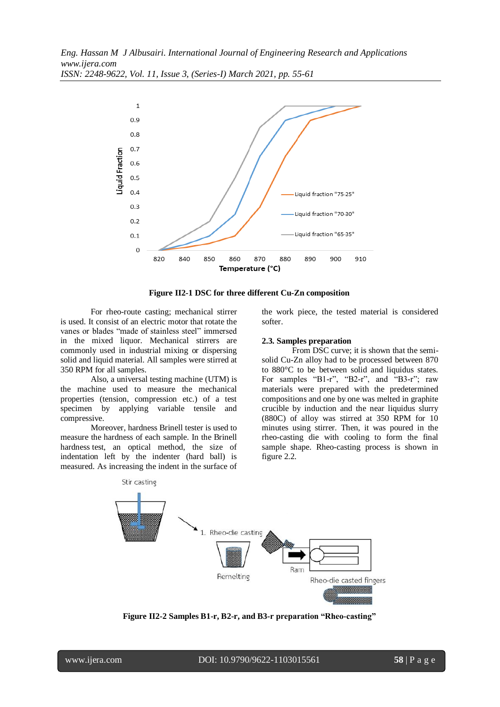

**Figure II2-1 DSC for three different Cu-Zn composition**

For rheo-route casting; mechanical stirrer is used. It consist of an electric motor that rotate the vanes or blades "made of stainless steel" immersed in the mixed liquor. Mechanical stirrers are commonly used in industrial mixing or dispersing solid and liquid material. All samples were stirred at 350 RPM for all samples.

Also, a universal testing machine (UTM) is the machine used to measure the mechanical properties (tension, compression etc.) of a test specimen by applying variable tensile and compressive.

Moreover, hardness Brinell tester is used to measure the hardness of each sample. In the Brinell hardness test, an optical method, the size of indentation left by the indenter (hard ball) is measured. As increasing the indent in the surface of the work piece, the tested material is considered softer.

#### **2.3. Samples preparation**

From DSC curve; it is shown that the semisolid Cu-Zn alloy had to be processed between 870 to 880°C to be between solid and liquidus states. For samples "B1-r", "B2-r", and "B3-r"; raw materials were prepared with the predetermined compositions and one by one was melted in graphite crucible by induction and the near liquidus slurry (880C) of alloy was stirred at 350 RPM for 10 minutes using stirrer. Then, it was poured in the rheo-casting die with cooling to form the final sample shape. Rheo-casting process is shown in figure 2.2.



**Figure II2-2 Samples B1-r, B2-r, and B3-r preparation "Rheo-casting"**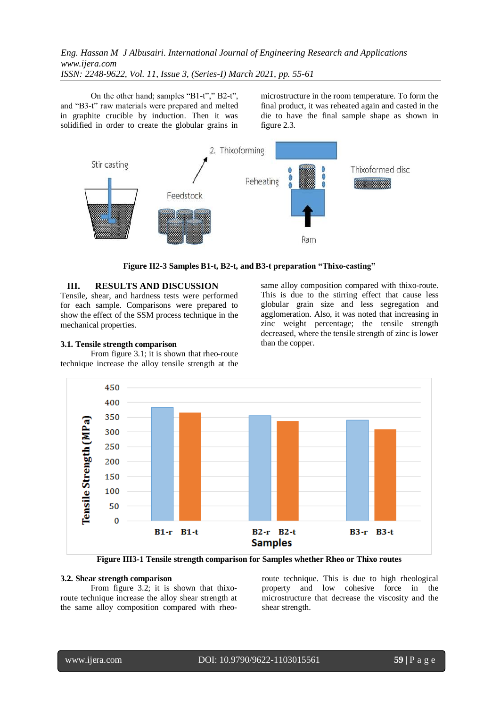On the other hand; samples "B1-t"," B2-t", and "B3-t" raw materials were prepared and melted in graphite crucible by induction. Then it was solidified in order to create the globular grains in microstructure in the room temperature. To form the final product, it was reheated again and casted in the die to have the final sample shape as shown in figure 2.3.



**Figure II2-3 Samples B1-t, B2-t, and B3-t preparation "Thixo-casting"**

## **III. RESULTS AND DISCUSSION**

Tensile, shear, and hardness tests were performed for each sample. Comparisons were prepared to show the effect of the SSM process technique in the mechanical properties.

## **3.1. Tensile strength comparison**

From figure 3.1; it is shown that rheo-route technique increase the alloy tensile strength at the same alloy composition compared with thixo-route. This is due to the stirring effect that cause less globular grain size and less segregation and agglomeration. Also, it was noted that increasing in zinc weight percentage; the tensile strength decreased, where the tensile strength of zinc is lower than the copper.



**Figure III3-1 Tensile strength comparison for Samples whether Rheo or Thixo routes**

## **3.2. Shear strength comparison**

From figure 3.2; it is shown that thixoroute technique increase the alloy shear strength at the same alloy composition compared with rheoroute technique. This is due to high rheological property and low cohesive force in the microstructure that decrease the viscosity and the shear strength.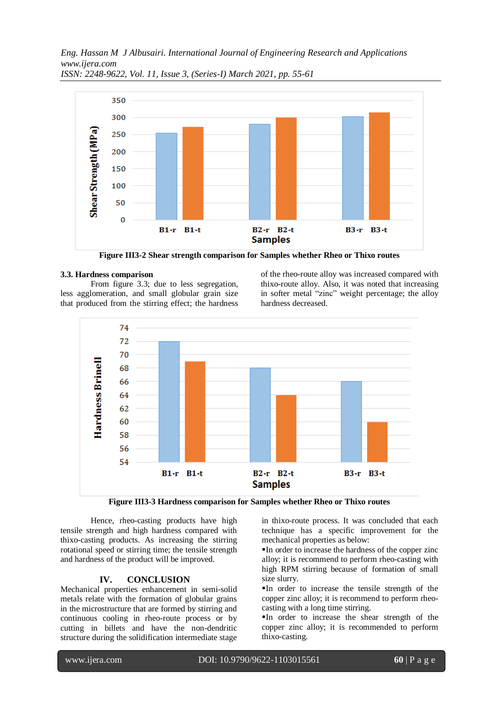*Eng. Hassan M J Albusairi. International Journal of Engineering Research and Applications www.ijera.com*



*ISSN: 2248-9622, Vol. 11, Issue 3, (Series-I) March 2021, pp. 55-61*

**Figure III3-2 Shear strength comparison for Samples whether Rheo or Thixo routes**

## **3.3. Hardness comparison**

From figure 3.3; due to less segregation, less agglomeration, and small globular grain size that produced from the stirring effect; the hardness of the rheo-route alloy was increased compared with thixo-route alloy. Also, it was noted that increasing in softer metal "zinc" weight percentage; the alloy hardness decreased.



**Figure III3-3 Hardness comparison for Samples whether Rheo or Thixo routes**

Hence, rheo-casting products have high tensile strength and high hardness compared with thixo-casting products. As increasing the stirring rotational speed or stirring time; the tensile strength and hardness of the product will be improved.

# **IV. CONCLUSION**

Mechanical properties enhancement in semi-solid metals relate with the formation of globular grains in the microstructure that are formed by stirring and continuous cooling in rheo-route process or by cutting in billets and have the non-dendritic structure during the solidification intermediate stage in thixo-route process. It was concluded that each technique has a specific improvement for the mechanical properties as below:

In order to increase the hardness of the copper zinc alloy; it is recommend to perform rheo-casting with high RPM stirring because of formation of small size slurry.

In order to increase the tensile strength of the copper zinc alloy; it is recommend to perform rheocasting with a long time stirring.

In order to increase the shear strength of the copper zinc alloy; it is recommended to perform thixo-casting.